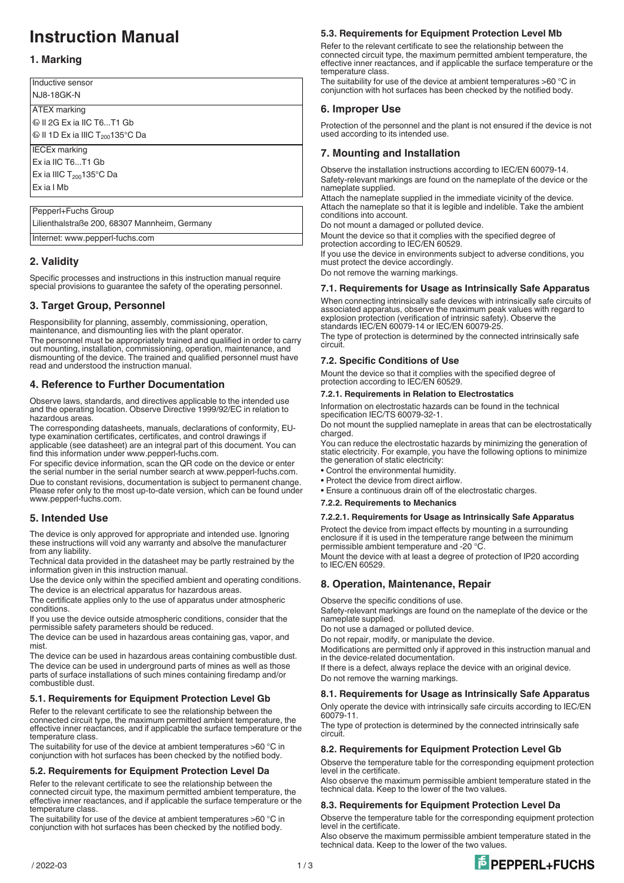# **Instruction Manual**

# **1. Marking**

Inductive sensor **N.I8-18GK-N** ATEX marking <sup><sup>1</sup></sup> Il 2G Ex ia IIC T6...T1 Gb  $\textcircled{1}$  II 1D Ex ia IIIC T<sub>200</sub>135°C Da IECEx marking Ex ia IIC T6...T1 Gb Ex ia IIIC  $T_{200}$ 135°C Da Ex ia I Mb Pepperl+Fuchs Group

Lilienthalstraße 200, 68307 Mannheim, Germany

Internet: www.pepperl-fuchs.com

# **2. Validity**

Specific processes and instructions in this instruction manual require special provisions to guarantee the safety of the operating personnel.

## **3. Target Group, Personnel**

Responsibility for planning, assembly, commissioning, operation, maintenance, and dismounting lies with the plant operator.

The personnel must be appropriately trained and qualified in order to carry out mounting, installation, commissioning, operation, maintenance, and dismounting of the device. The trained and qualified personnel must have read and understood the instruction manual.

# **4. Reference to Further Documentation**

Observe laws, standards, and directives applicable to the intended use and the operating location. Observe Directive 1999/92/EC in relation to hazardous areas.

The corresponding datasheets, manuals, declarations of conformity, EUtype examination certificates, certificates, and control drawings if applicable (see datasheet) are an integral part of this document. You can find this information under www.pepperl-fuchs.com.

For specific device information, scan the QR code on the device or enter the serial number in the serial number search at www.pepperl-fuchs.com. Due to constant revisions, documentation is subject to permanent change. Please refer only to the most up-to-date version, which can be found under www.pepperl-fuchs.com.

# **5. Intended Use**

The device is only approved for appropriate and intended use. Ignoring these instructions will void any warranty and absolve the manufacturer from any liability.

Technical data provided in the datasheet may be partly restrained by the information given in this instruction manual.

Use the device only within the specified ambient and operating conditions. The device is an electrical apparatus for hazardous areas.

The certificate applies only to the use of apparatus under atmospheric conditions.

If you use the device outside atmospheric conditions, consider that the permissible safety parameters should be reduced.

The device can be used in hazardous areas containing gas, vapor, and mist.

The device can be used in hazardous areas containing combustible dust. The device can be used in underground parts of mines as well as those parts of surface installations of such mines containing firedamp and/or combustible dust.

## **5.1. Requirements for Equipment Protection Level Gb**

Refer to the relevant certificate to see the relationship between the connected circuit type, the maximum permitted ambient temperature, the effective inner reactances, and if applicable the surface temperature or the temperature class

The suitability for use of the device at ambient temperatures >60 °C in conjunction with hot surfaces has been checked by the notified body.

#### **5.2. Requirements for Equipment Protection Level Da**

Refer to the relevant certificate to see the relationship between the connected circuit type, the maximum permitted ambient temperature, the effective inner reactances, and if applicable the surface temperature or the temperature class.

The suitability for use of the device at ambient temperatures >60 °C in conjunction with hot surfaces has been checked by the notified body.

## **5.3. Requirements for Equipment Protection Level Mb**

Refer to the relevant certificate to see the relationship between the connected circuit type, the maximum permitted ambient temperature, the effective inner reactances, and if applicable the surface temperature or the temperature class.

The suitability for use of the device at ambient temperatures >60 °C in conjunction with hot surfaces has been checked by the notified body.

# **6. Improper Use**

Protection of the personnel and the plant is not ensured if the device is not used according to its intended use.

# **7. Mounting and Installation**

Observe the installation instructions according to IEC/EN 60079-14. Safety-relevant markings are found on the nameplate of the device or the nameplate supplied.

Attach the nameplate supplied in the immediate vicinity of the device. Attach the nameplate so that it is legible and indelible. Take the ambient conditions into account.

Do not mount a damaged or polluted device.

Mount the device so that it complies with the specified degree of protection according to IEC/EN 60529.

If you use the device in environments subject to adverse conditions, you must protect the device accordingly. Do not remove the warning markings.

# **7.1. Requirements for Usage as Intrinsically Safe Apparatus**

When connecting intrinsically safe devices with intrinsically safe circuits of associated apparatus, observe the maximum peak values with regard to explosion protection (verification of intrinsic safety). Observe the standards IEC/EN 60079-14 or IEC/EN 60079-25. The type of protection is determined by the connected intrinsically safe circuit.

# **7.2. Specific Conditions of Use**

Mount the device so that it complies with the specified degree of protection according to IEC/EN 60529.

#### **7.2.1. Requirements in Relation to Electrostatics**

Information on electrostatic hazards can be found in the technical specification IEC/TS 60079-32-1.

Do not mount the supplied nameplate in areas that can be electrostatically charged.

You can reduce the electrostatic hazards by minimizing the generation of static electricity. For example, you have the following options to minimize the generation of static electricity:

- Control the environmental humidity.
- Protect the device from direct airflow.
- Ensure a continuous drain off of the electrostatic charges.
- **7.2.2. Requirements to Mechanics**

#### **7.2.2.1. Requirements for Usage as Intrinsically Safe Apparatus**

Protect the device from impact effects by mounting in a surrounding enclosure if it is used in the temperature range between the minimum permissible ambient temperature and -20 °C

Mount the device with at least a degree of protection of IP20 according to IEC/EN 60529.

## **8. Operation, Maintenance, Repair**

Observe the specific conditions of use.

Safety-relevant markings are found on the nameplate of the device or the nameplate supplied.

Do not use a damaged or polluted device.

Do not repair, modify, or manipulate the device.

Modifications are permitted only if approved in this instruction manual and in the device-related documentation.

If there is a defect, always replace the device with an original device. Do not remove the warning markings.

## **8.1. Requirements for Usage as Intrinsically Safe Apparatus**

Only operate the device with intrinsically safe circuits according to IEC/EN 60079-11.

The type of protection is determined by the connected intrinsically safe circuit.

#### **8.2. Requirements for Equipment Protection Level Gb**

Observe the temperature table for the corresponding equipment protection level in the certificate.

Also observe the maximum permissible ambient temperature stated in the technical data. Keep to the lower of the two values.

#### **8.3. Requirements for Equipment Protection Level Da**

Observe the temperature table for the corresponding equipment protection level in the certificate.

Also observe the maximum permissible ambient temperature stated in the technical data. Keep to the lower of the two values.

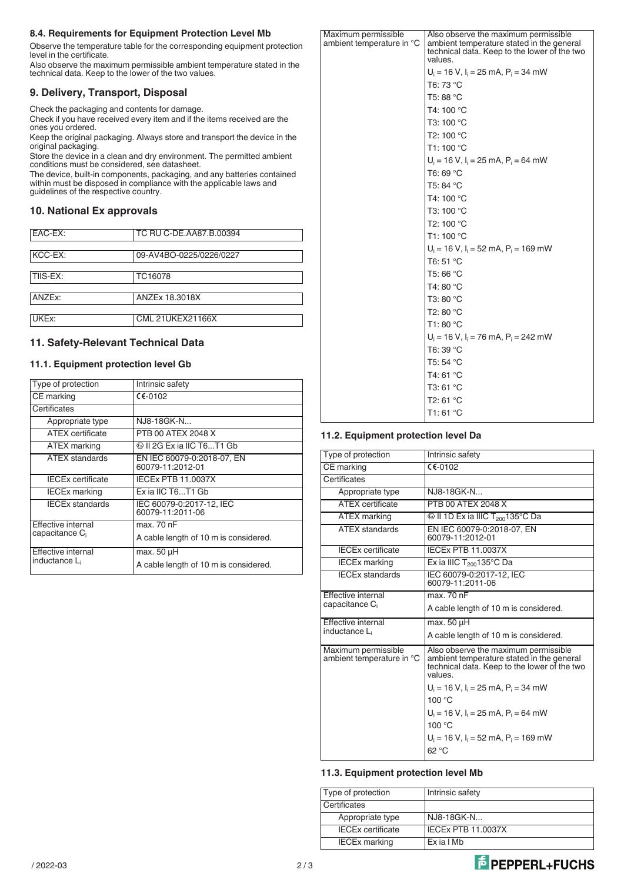## **8.4. Requirements for Equipment Protection Level Mb**

Observe the temperature table for the corresponding equipment protection level in the certificate.

Also observe the maximum permissible ambient temperature stated in the technical data. Keep to the lower of the two values.

# **9. Delivery, Transport, Disposal**

Check the packaging and contents for damage.

Check if you have received every item and if the items received are the ones you ordered.

Keep the original packaging. Always store and transport the device in the original packaging.

Store the device in a clean and dry environment. The permitted ambient conditions must be considered, see datasheet.

The device, built-in components, packaging, and any batteries contained within must be disposed in compliance with the applicable laws and guidelines of the respective country.

# **10. National Ex approvals**

| EAC-EX:  | TC RU C-DE.AA87.B.00394 |
|----------|-------------------------|
|          |                         |
| KCC-EX:  | 09-AV4BO-0225/0226/0227 |
|          |                         |
| TIIS-EX: | TC16078                 |
|          |                         |
|          |                         |
| ANZEx:   | ANZEx 18.3018X          |
|          |                         |
| UKEx:    | <b>CML 21UKEX21166X</b> |
|          |                         |

# **11. Safety-Relevant Technical Data**

#### **11.1. Equipment protection level Gb**

| Type of protection                                     | Intrinsic safety                               |
|--------------------------------------------------------|------------------------------------------------|
| CE marking                                             | $C$ $C$ -0102                                  |
| Certificates                                           |                                                |
| Appropriate type                                       | NJ8-18GK-N                                     |
| <b>ATEX</b> certificate                                | PTB 00 ATEX 2048 X                             |
| ATEX marking                                           | © II 2G Ex ia IIC T6T1 Gb                      |
| <b>ATEX</b> standards                                  | EN IEC 60079-0:2018-07. EN<br>60079-11:2012-01 |
| <b>IECEx certificate</b>                               | <b>IECEx PTB 11.0037X</b>                      |
| <b>IECEx marking</b>                                   | Ex ia IIC T6T1 Gb                              |
| <b>IECEx standards</b>                                 | IEC 60079-0:2017-12, IEC<br>60079-11:2011-06   |
| Effective internal<br>capacitance C <sub>i</sub>       | max. 70 nF                                     |
|                                                        | A cable length of 10 m is considered.          |
| <b>Effective internal</b><br>inductance L <sub>i</sub> | max. 50 µH                                     |
|                                                        | A cable length of 10 m is considered.          |

| ıum permissible<br>nt temperature in °C | Also observe the maximum permissible<br>ambient temperature stated in the general<br>technical data. Keep to the lower of the two<br>values. |
|-----------------------------------------|----------------------------------------------------------------------------------------------------------------------------------------------|
|                                         | $U_i = 16 V$ , $I_i = 25 mA$ , $P_i = 34 mW$                                                                                                 |
|                                         | T6: 73 °C                                                                                                                                    |
|                                         | T5: 88 °C                                                                                                                                    |
|                                         | T4: 100 °C                                                                                                                                   |
|                                         | T3: 100 °C                                                                                                                                   |
|                                         | T2: 100 $^{\circ}$ C                                                                                                                         |
|                                         | T1: 100 °C                                                                                                                                   |
|                                         | $U_i = 16 V$ , $I_i = 25 mA$ , $P_i = 64 mW$                                                                                                 |
|                                         | T6: 69 °C                                                                                                                                    |
|                                         | T5: 84 °C                                                                                                                                    |
|                                         | T4: 100 °C                                                                                                                                   |
|                                         | T3: 100 °C                                                                                                                                   |
|                                         | T2: 100 °C                                                                                                                                   |
|                                         | T1: 100 °C                                                                                                                                   |
|                                         | $U_i = 16$ V, $I_i = 52$ mA, $P_i = 169$ mW                                                                                                  |
|                                         | T6: 51 °C                                                                                                                                    |
|                                         | T5: 66 °C                                                                                                                                    |
|                                         | T4: 80 °C                                                                                                                                    |
|                                         | T3: 80 °C                                                                                                                                    |
|                                         | T2: 80 °C                                                                                                                                    |
|                                         | T1:80 °C                                                                                                                                     |
|                                         | $U_i = 16$ V, $I_i = 76$ mA, $P_i = 242$ mW                                                                                                  |
|                                         | T6: 39 °C                                                                                                                                    |
|                                         | T5: 54 °C                                                                                                                                    |
|                                         | T4: 61 °C                                                                                                                                    |
|                                         | T3: 61 °C                                                                                                                                    |
|                                         | T2: 61 °C                                                                                                                                    |
|                                         | T1: 61 °C                                                                                                                                    |

# **11.2. Equipment protection level Da**

Maxim ambie

| Type of protection                               | Intrinsic safety                                                                                                                            |
|--------------------------------------------------|---------------------------------------------------------------------------------------------------------------------------------------------|
| CE marking                                       | $C$ $C$ -0102                                                                                                                               |
| Certificates                                     |                                                                                                                                             |
| Appropriate type                                 | NJ8-18GK-N                                                                                                                                  |
| <b>ATFX</b> certificate                          | PTB 00 ATEX 2048 X                                                                                                                          |
| <b>ATEX</b> marking                              | $\circledR$ II 1D Ex ia IIIC T <sub>200</sub> 135°C Da                                                                                      |
| <b>ATEX standards</b>                            | EN IEC 60079-0:2018-07, EN<br>60079-11:2012-01                                                                                              |
| <b>IECEx certificate</b>                         | <b>IECEX PTB 11.0037X</b>                                                                                                                   |
| <b>IECEx marking</b>                             | Ex ia IIIC $T_{200}$ 135°C Da                                                                                                               |
| <b>IECEx standards</b>                           | IEC 60079-0:2017-12, IEC<br>60079-11:2011-06                                                                                                |
| Effective internal                               | max. 70 nF                                                                                                                                  |
| capacitance C <sub>i</sub>                       | A cable length of 10 m is considered.                                                                                                       |
| Effective internal                               | $max. 50 \mu H$                                                                                                                             |
| inductance L                                     | A cable length of 10 m is considered.                                                                                                       |
| Maximum permissible<br>ambient temperature in °C | Also observe the maximum permissible<br>ambient temperature stated in the general<br>technical data. Keep to the lower of the two<br>values |
|                                                  | $U_i = 16$ V, $I_i = 25$ mA, $P_i = 34$ mW                                                                                                  |
|                                                  | 100 °C                                                                                                                                      |
|                                                  | $U_i = 16$ V, $I_i = 25$ mA, $P_i = 64$ mW                                                                                                  |
|                                                  | 100 °C                                                                                                                                      |
|                                                  | $U_i = 16 V$ , $I_i = 52$ mA, $P_i = 169$ mW                                                                                                |
|                                                  | 62 °C                                                                                                                                       |

#### **11.3. Equipment protection level Mb**

| Type of protection       | Intrinsic safety     |
|--------------------------|----------------------|
| Certificates             |                      |
| Appropriate type         | l NJ8-18GK-N         |
| <b>IECEx certificate</b> | I IECEx PTB 11.0037X |
| <b>IECEx marking</b>     | Ex ia I Mb           |